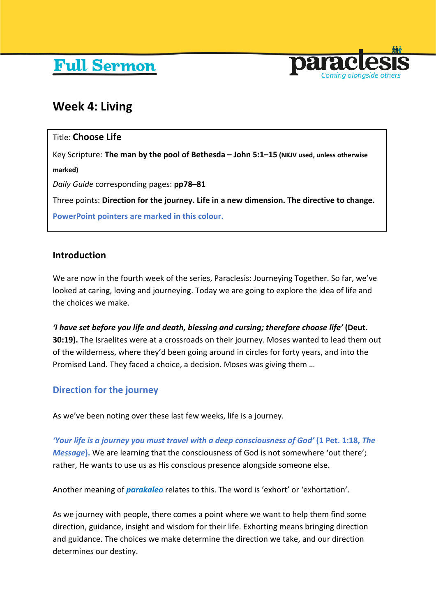# **Full Sermon**



# **Week 4: Living**

# Title: **Choose Life**

Key Scripture: **The man by the pool of Bethesda – John 5:1–15 (NKJV used, unless otherwise marked)** *Daily Guide* corresponding pages: **pp78–81** Three points: **Direction for the journey. Life in a new dimension. The directive to change. PowerPoint pointers are marked in this colour.**

# **Introduction**

We are now in the fourth week of the series, Paraclesis: Journeying Together. So far, we've looked at caring, loving and journeying. Today we are going to explore the idea of life and the choices we make.

*'I have set before you life and death, blessing and cursing; therefore choose life'* **(Deut. 30:19).** The Israelites were at a crossroads on their journey. Moses wanted to lead them out of the wilderness, where they'd been going around in circles for forty years, and into the Promised Land. They faced a choice, a decision. Moses was giving them …

# **Direction for the journey**

As we've been noting over these last few weeks, life is a journey.

*'Your life is a journey you must travel with a deep consciousness of God'* **(1 Pet. 1:18,** *The Message***).** We are learning that the consciousness of God is not somewhere 'out there'; rather, He wants to use us as His conscious presence alongside someone else.

Another meaning of *parakaleo* relates to this. The word is 'exhort' or 'exhortation'.

As we journey with people, there comes a point where we want to help them find some direction, guidance, insight and wisdom for their life. Exhorting means bringing direction and guidance. The choices we make determine the direction we take, and our direction determines our destiny.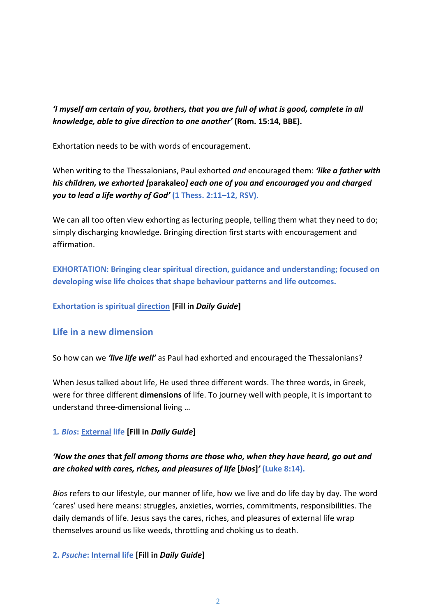*'I myself am certain of you, brothers, that you are full of what is good, complete in all knowledge, able to give direction to one another'* **(Rom. 15:14, BBE).**

Exhortation needs to be with words of encouragement.

When writing to the Thessalonians, Paul exhorted *and* encouraged them: *'like a father with his children, we exhorted [***parakaleo***] each one of you and encouraged you and charged you to lead a life worthy of God'* **(1 Thess. 2:11–12, RSV)**.

We can all too often view exhorting as lecturing people, telling them what they need to do; simply discharging knowledge. Bringing direction first starts with encouragement and affirmation.

**EXHORTATION: Bringing clear spiritual direction, guidance and understanding; focused on developing wise life choices that shape behaviour patterns and life outcomes.**

**Exhortation is spiritual direction [Fill in** *Daily Guide***]**

## **Life in a new dimension**

So how can we *'live life well'* as Paul had exhorted and encouraged the Thessalonians?

When Jesus talked about life, He used three different words. The three words, in Greek, were for three different **dimensions** of life. To journey well with people, it is important to understand three-dimensional living …

#### **1***. Bios***: External life [Fill in** *Daily Guide***]**

# *'Now the ones* **that** *fell among thorns are those who, when they have heard, go out and are choked with cares, riches, and pleasures of life* **[***bios***]***'* **(Luke 8:14).**

*Bios* refers to our lifestyle, our manner of life, how we live and do life day by day. The word 'cares' used here means: struggles, anxieties, worries, commitments, responsibilities. The daily demands of life. Jesus says the cares, riches, and pleasures of external life wrap themselves around us like weeds, throttling and choking us to death.

#### **2.** *Psuche***: Internal life [Fill in** *Daily Guide***]**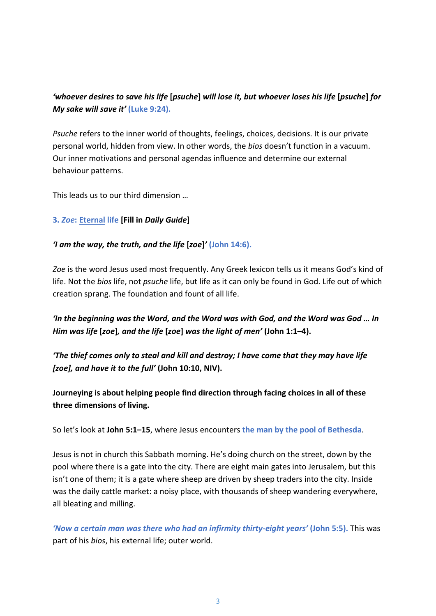# *'whoever desires to save his life* **[***psuche***]** *will lose it, but whoever loses his life* **[***psuche***]** *for My sake will save it'* **(Luke 9:24).**

*Psuche* refers to the inner world of thoughts, feelings, choices, decisions. It is our private personal world, hidden from view. In other words, the *bios* doesn't function in a vacuum. Our inner motivations and personal agendas influence and determine our external behaviour patterns.

This leads us to our third dimension …

#### **3.** *Zoe***: Eternal life [Fill in** *Daily Guide***]**

#### *'I am the way, the truth, and the life* **[***zoe***]***'* **(John 14:6).**

*Zoe* is the word Jesus used most frequently. Any Greek lexicon tells us it means God's kind of life. Not the *bios* life, not *psuche* life, but life as it can only be found in God. Life out of which creation sprang. The foundation and fount of all life.

*'In the beginning was the Word, and the Word was with God, and the Word was God … In Him was life* **[***zoe***]***, and the life* **[***zoe***]** *was the light of men'* **(John 1:1–4).**

*'The thief comes only to steal and kill and destroy; I have come that they may have life [zoe], and have it to the full'* **(John 10:10, NIV).**

**Journeying is about helping people find direction through facing choices in all of these three dimensions of living.** 

So let's look at **John 5:1–15**, where Jesus encounters **the man by the pool of Bethesda**.

Jesus is not in church this Sabbath morning. He's doing church on the street, down by the pool where there is a gate into the city. There are eight main gates into Jerusalem, but this isn't one of them; it is a gate where sheep are driven by sheep traders into the city. Inside was the daily cattle market: a noisy place, with thousands of sheep wandering everywhere, all bleating and milling.

*'Now a certain man was there who had an infirmity thirty-eight years'* **(John 5:5).** This was part of his *bios*, his external life; outer world.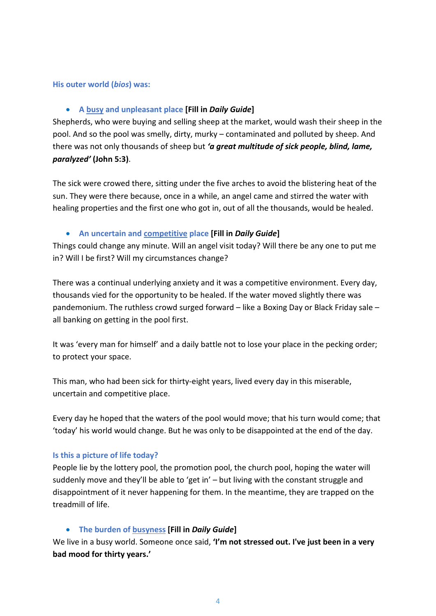#### **His outer world (***bios***) was:**

#### • **A busy and unpleasant place [Fill in** *Daily Guide***]**

Shepherds, who were buying and selling sheep at the market, would wash their sheep in the pool. And so the pool was smelly, dirty, murky – contaminated and polluted by sheep. And there was not only thousands of sheep but *'a great multitude of sick people, blind, lame, paralyzed'* **(John 5:3)**.

The sick were crowed there, sitting under the five arches to avoid the blistering heat of the sun. They were there because, once in a while, an angel came and stirred the water with healing properties and the first one who got in, out of all the thousands, would be healed.

#### • **An uncertain and competitive place [Fill in** *Daily Guide***]**

Things could change any minute. Will an angel visit today? Will there be any one to put me in? Will I be first? Will my circumstances change?

There was a continual underlying anxiety and it was a competitive environment. Every day, thousands vied for the opportunity to be healed. If the water moved slightly there was pandemonium. The ruthless crowd surged forward – like a Boxing Day or Black Friday sale – all banking on getting in the pool first.

It was 'every man for himself' and a daily battle not to lose your place in the pecking order; to protect your space.

This man, who had been sick for thirty-eight years, lived every day in this miserable, uncertain and competitive place.

Every day he hoped that the waters of the pool would move; that his turn would come; that 'today' his world would change. But he was only to be disappointed at the end of the day.

#### **Is this a picture of life today?**

People lie by the lottery pool, the promotion pool, the church pool, hoping the water will suddenly move and they'll be able to 'get in' – but living with the constant struggle and disappointment of it never happening for them. In the meantime, they are trapped on the treadmill of life.

#### • **The burden of busyness [Fill in** *Daily Guide***]**

We live in a busy world. Someone once said, **'I'm not stressed out. I've just been in a very bad mood for thirty years.'**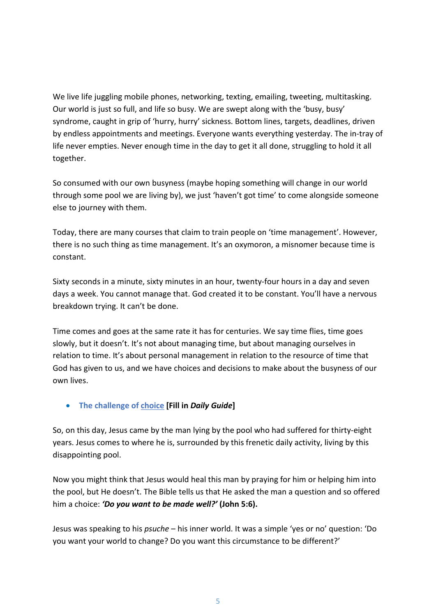We live life juggling mobile phones, networking, texting, emailing, tweeting, multitasking. Our world is just so full, and life so busy. We are swept along with the 'busy, busy' syndrome, caught in grip of 'hurry, hurry' sickness. Bottom lines, targets, deadlines, driven by endless appointments and meetings. Everyone wants everything yesterday. The in-tray of life never empties. Never enough time in the day to get it all done, struggling to hold it all together.

So consumed with our own busyness (maybe hoping something will change in our world through some pool we are living by), we just 'haven't got time' to come alongside someone else to journey with them.

Today, there are many courses that claim to train people on 'time management'. However, there is no such thing as time management. It's an oxymoron, a misnomer because time is constant.

Sixty seconds in a minute, sixty minutes in an hour, twenty-four hours in a day and seven days a week. You cannot manage that. God created it to be constant. You'll have a nervous breakdown trying. It can't be done.

Time comes and goes at the same rate it has for centuries. We say time flies, time goes slowly, but it doesn't. It's not about managing time, but about managing ourselves in relation to time. It's about personal management in relation to the resource of time that God has given to us, and we have choices and decisions to make about the busyness of our own lives.

#### • **The challenge of choice [Fill in** *Daily Guide***]**

So, on this day, Jesus came by the man lying by the pool who had suffered for thirty-eight years. Jesus comes to where he is, surrounded by this frenetic daily activity, living by this disappointing pool.

Now you might think that Jesus would heal this man by praying for him or helping him into the pool, but He doesn't. The Bible tells us that He asked the man a question and so offered him a choice: *'Do you want to be made well?'* **(John 5:6).**

Jesus was speaking to his *psuche* – his inner world. It was a simple 'yes or no' question: 'Do you want your world to change? Do you want this circumstance to be different?'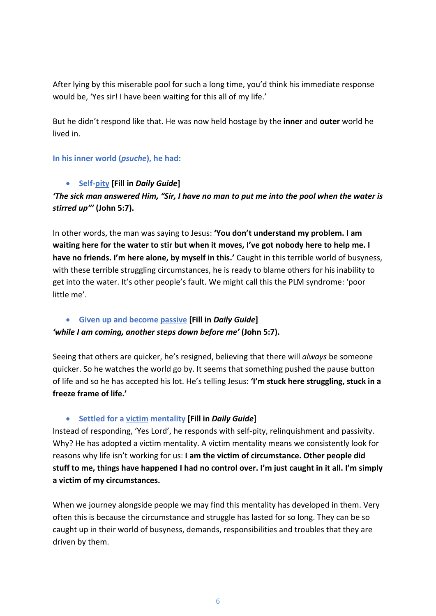After lying by this miserable pool for such a long time, you'd think his immediate response would be, 'Yes sir! I have been waiting for this all of my life.'

But he didn't respond like that. He was now held hostage by the **inner** and **outer** world he lived in.

#### **In his inner world (***psuche***), he had:**

#### • **Self-pity [Fill in** *Daily Guide***]**

# *'The sick man answered Him, "Sir, I have no man to put me into the pool when the water is stirred up"'* **(John 5:7).**

In other words, the man was saying to Jesus: **'You don't understand my problem. I am waiting here for the water to stir but when it moves, I've got nobody here to help me. I have no friends. I'm here alone, by myself in this.'** Caught in this terrible world of busyness, with these terrible struggling circumstances, he is ready to blame others for his inability to get into the water. It's other people's fault. We might call this the PLM syndrome: 'poor little me'.

#### • **Given up and become passive [Fill in** *Daily Guide***]**

## *'while I am coming, another steps down before me'* **(John 5:7).**

Seeing that others are quicker, he's resigned, believing that there will *always* be someone quicker. So he watches the world go by. It seems that something pushed the pause button of life and so he has accepted his lot. He's telling Jesus: **'I'm stuck here struggling, stuck in a freeze frame of life.'**

#### • **Settled for a victim mentality [Fill in** *Daily Guide***]**

Instead of responding, 'Yes Lord', he responds with self-pity, relinquishment and passivity. Why? He has adopted a victim mentality. A victim mentality means we consistently look for reasons why life isn't working for us: **I am the victim of circumstance. Other people did stuff to me, things have happened I had no control over. I'm just caught in it all. I'm simply a victim of my circumstances.** 

When we journey alongside people we may find this mentality has developed in them. Very often this is because the circumstance and struggle has lasted for so long. They can be so caught up in their world of busyness, demands, responsibilities and troubles that they are driven by them.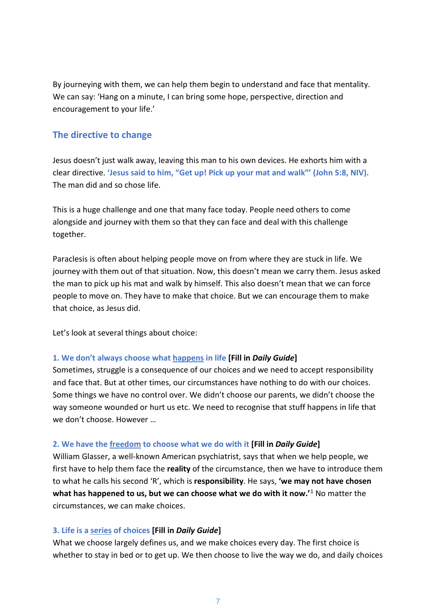By journeying with them, we can help them begin to understand and face that mentality. We can say: 'Hang on a minute, I can bring some hope, perspective, direction and encouragement to your life.'

# **The directive to change**

Jesus doesn't just walk away, leaving this man to his own devices. He exhorts him with a clear directive. **'Jesus said to him, "Get up! Pick up your mat and walk"' (John 5:8, NIV).** The man did and so chose life.

This is a huge challenge and one that many face today. People need others to come alongside and journey with them so that they can face and deal with this challenge together.

Paraclesis is often about helping people move on from where they are stuck in life. We journey with them out of that situation. Now, this doesn't mean we carry them. Jesus asked the man to pick up his mat and walk by himself. This also doesn't mean that we can force people to move on. They have to make that choice. But we can encourage them to make that choice, as Jesus did.

Let's look at several things about choice:

#### **1. We don't always choose what happens in life [Fill in** *Daily Guide***]**

Sometimes, struggle is a consequence of our choices and we need to accept responsibility and face that. But at other times, our circumstances have nothing to do with our choices. Some things we have no control over. We didn't choose our parents, we didn't choose the way someone wounded or hurt us etc. We need to recognise that stuff happens in life that we don't choose. However …

#### **2. We have the freedom to choose what we do with it [Fill in** *Daily Guide***]**

William Glasser, a well-known American psychiatrist, says that when we help people, we first have to help them face the **reality** of the circumstance, then we have to introduce them to what he calls his second 'R', which is **responsibility**. He says, **'we may not have chosen what has happened to us, but we can choose what we do with it now.'**[1](#page-8-0) No matter the circumstances, we can make choices.

#### **3. Life is a series of choices [Fill in** *Daily Guide***]**

What we choose largely defines us, and we make choices every day. The first choice is whether to stay in bed or to get up. We then choose to live the way we do, and daily choices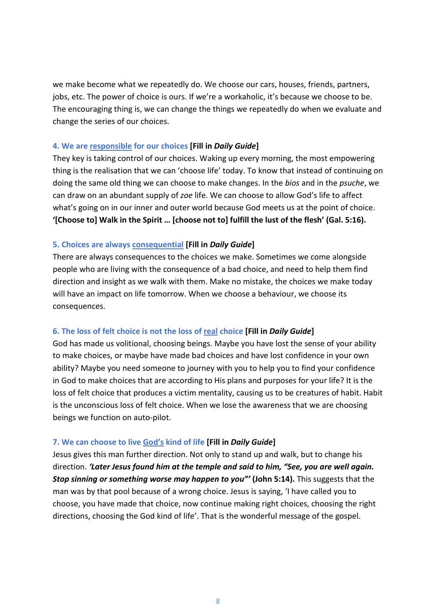we make become what we repeatedly do. We choose our cars, houses, friends, partners, jobs, etc. The power of choice is ours. If we're a workaholic, it's because we choose to be. The encouraging thing is, we can change the things we repeatedly do when we evaluate and change the series of our choices.

#### **4. We are responsible for our choices [Fill in** *Daily Guide***]**

They key is taking control of our choices. Waking up every morning, the most empowering thing is the realisation that we can 'choose life' today. To know that instead of continuing on doing the same old thing we can choose to make changes. In the *bios* and in the *psuche*, we can draw on an abundant supply of *zoe* life. We can choose to allow God's life to affect what's going on in our inner and outer world because God meets us at the point of choice. **'[Choose to] Walk in the Spirit … [choose not to] fulfill the lust of the flesh' (Gal. 5:16).**

#### **5. Choices are always consequential [Fill in** *Daily Guide***]**

There are always consequences to the choices we make. Sometimes we come alongside people who are living with the consequence of a bad choice, and need to help them find direction and insight as we walk with them. Make no mistake, the choices we make today will have an impact on life tomorrow. When we choose a behaviour, we choose its consequences.

#### **6. The loss of felt choice is not the loss of real choice [Fill in** *Daily Guide***]**

God has made us volitional, choosing beings. Maybe you have lost the sense of your ability to make choices, or maybe have made bad choices and have lost confidence in your own ability? Maybe you need someone to journey with you to help you to find your confidence in God to make choices that are according to His plans and purposes for your life? It is the loss of felt choice that produces a victim mentality, causing us to be creatures of habit. Habit is the unconscious loss of felt choice. When we lose the awareness that we are choosing beings we function on auto-pilot.

#### **7. We can choose to live God's kind of life [Fill in** *Daily Guide***]**

Jesus gives this man further direction. Not only to stand up and walk, but to change his direction. *'Later Jesus found him at the temple and said to him, "See, you are well again. Stop sinning or something worse may happen to you"'* **(John 5:14).** This suggests that the man was by that pool because of a wrong choice. Jesus is saying, 'I have called you to choose, you have made that choice, now continue making right choices, choosing the right directions, choosing the God kind of life'. That is the wonderful message of the gospel.